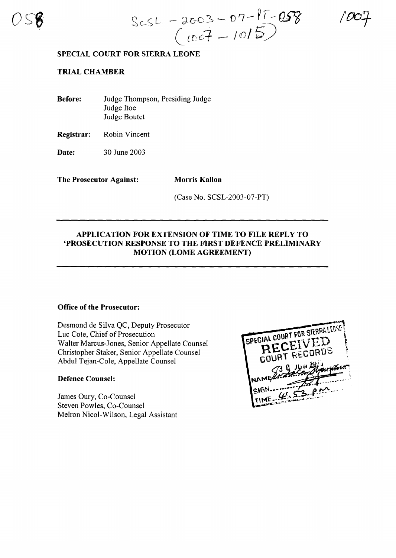

 $Sc5L - 2003 - 07 - 17 - 058$ <br>( $1007 - 1015$ )

# **SPECIAL COURT FOR SIERRA LEONE**

# **TRIAL CHAMBER**

**Before:** Judge Thompson, Presiding Judge Judge Hoe Judge Boutet

**Registrar:** Robin Vincent

**Date:** 30 June 2003

**The Prosecutor Against: Morris Kallon** 

(Case No. SCSL-2003-07-PT)

# **APPLICATION FOR EXTENSION OF TIME TO FILE REPLY TO 'PROSECUTION RESPONSE TO THE FIRST DEFENCE PRELIMINARY MOTION (LOME AGREEMENT)**

### **Office of the Prosecutor:**

Desmond de Silva QC, Deputy Prosecutor Luc Cote, Chief of Prosecution Walter Marcus-Jones, Senior Appellate Counsel Christopher Staker, Senior Appellate Counsel Abdul Tejan-Cole, Appellate Counsel

## **Defence Counsel:**

James Gury, Co-Counsel Steven Powles, Co-Counsel Melron Nicol-Wilson, Legal Assistant

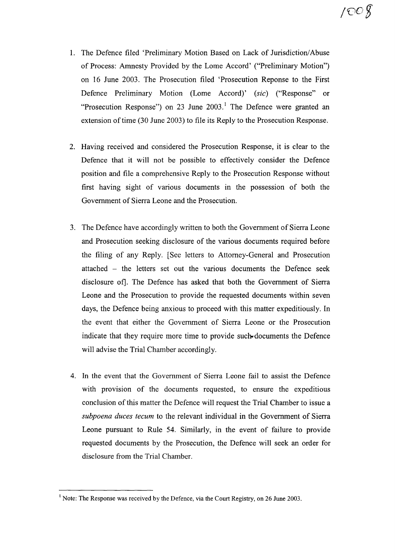- 1. The Defence filed 'Preliminary Motion Based on Lack of Jurisdiction/Abuse of Process: Amnesty Provided by the Lome Accord' ("Preliminary Motion") on 16 June 2003. The Prosecution filed 'Prosecution Reponse to the First Defence Preliminary Motion (Lome Accord)' *(sic)* ("Response" or "Prosecution Response") on 23 June  $2003$ .<sup>1</sup> The Defence were granted an extension of time (30 June 2003) to file its Reply to the Prosecution Response.
- 2. Having received and considered the Prosecution Response, it is clear to the Defence that it will not be possible to effectively consider the Defence position and file a comprehensive Reply to the Prosecution Response without first having sight of various documents in the possession of both the Government of Sierra Leone and the Prosecution.
- 3. The Defence have accordingly written to both the Government of Sierra Leone and Prosecution seeking disclosure of the various documents required before the filing of any Reply. [See letters to Attorney-General and Prosecution attached - the letters set out the various documents the Defence seek disclosure of]. The Defence has asked that both the Government of Sierra Leone and the Prosecution to provide the requested documents within seven days, the Defence being anxious to proceed with this matter expeditiously. In the event that either the Government of Sierra Leone or the Prosecution indicate that they require more time to provide such-documents the Defence will advise the Trial Chamber accordingly.
- 4. In the event that the Government of Sierra Leone fail to assist the Defence with provision of the documents requested, to ensure the expeditious conclusion of this matter the Defence will request the Trial Chamber to issue a *subpoena duces tecum* to the relevant individual in the Government of Sierra Leone pursuant to Rule 54. Similarly, in the event of failure to provide requested documents by the Prosecution, the Defence will seek an order for disclosure from the Trial Chamber.

<sup>&</sup>lt;sup>1</sup> Note: The Response was received by the Defence, via the Court Registry, on 26 June 2003.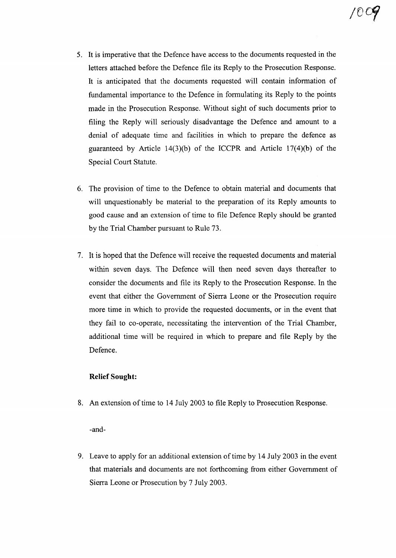- 5. It is imperative that the Defence have access to the documents requested in the letters attached before the Defence file its Reply to the Prosecution Response. It is anticipated that the documents requested will contain information of fundamental importance to the Defence in formulating its Reply to the points made in the Prosecution Response. Without sight of such documents prior to filing the Reply will seriously disadvantage the Defence and amount to a denial of adequate time and facilities in which to prepare the defence as guaranteed by Article 14(3)(b) of the ICCPR and Article  $17(4)$ (b) of the Special Court Statute.
- 6. The provision of time to the Defence to obtain material and documents that will unquestionably be material to the preparation of its Reply amounts to good cause and an extension of time to file Defence Reply should be granted by the Trial Chamber pursuant to Rule 73.
- 7. It is hoped that the Defence will receive the requested documents and material within seven days. The Defence will then need seven days thereafter to consider the documents and file its Reply to the Prosecution Response. In the event that either the Government of Sierra Leone or the Prosecution require more time in which to provide the requested documents, or in the event that they fail to co-operate, necessitating the intervention of the Trial Chamber, additional time will be required in which to prepare and file Reply by the Defence.

## **Relief Sought:**

8. An extension of time to 14 July 2003 to file Reply to Prosecution Response.

-and-

9. Leave to apply for an additional extension of time by 14 July 2003 in the event that materials and documents are not forthcoming from either Government of Sierra Leone or Prosecution by 7 July 2003.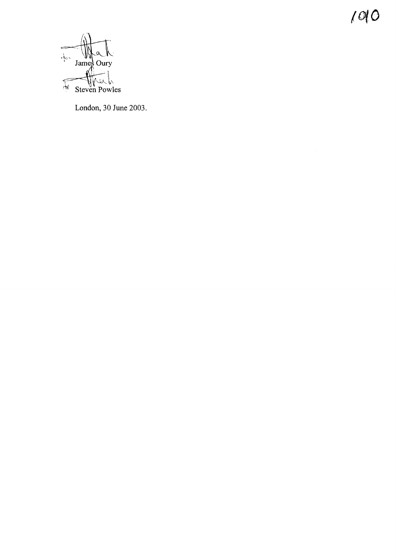$1010$ 



London, 30 June 2003.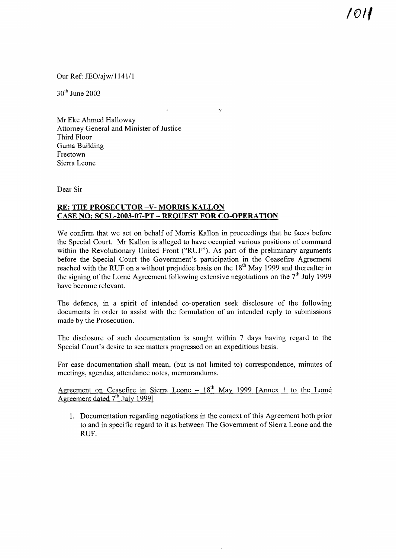*10'(*

Our Ref: JEO/ajw/1141/1

 $30<sup>th</sup>$  June 2003

Mr Eke Ahmed Halloway Attorney General and Minister of Justice Third Floor Guma Building Freetown Sierra Leone

Dear Sir

## **RE: THE PROSECUTOR -V-MORRIS KALLON CASE NO: SCSL-2003-07-PT - REQUEST FOR CO-OPERATION**

We confirm that we act on behalf of Morris Kallon in proceedings that he faces before the Special Court. Mr Kallon is alleged to have occupied various positions of command within the Revolutionary United Front ("RUF"). As part of the preliminary arguments before the Special Court the Government's participation in the Ceasefire Agreement reached with the RUF on a without prejudice basis on the  $18<sup>th</sup>$  May 1999 and thereafter in the signing of the Lomé Agreement following extensive negotiations on the  $7<sup>th</sup>$  July 1999 have become relevant.

 $\ddot{\psi}$ 

The defence, in a spirit of intended co-operation seek disclosure of the following documents in order to assist with the formulation of an intended reply to submissions made by the Prosecution.

The disclosure of such documentation is sought within 7 days having regard to the Special Court's desire to see matters progressed on an expeditious basis.

For ease documentation shall mean, (but is not limited to) correspondence, minutes of meetings, agendas, attendance notes, memorandums.

Agreement on Ceasefire in Sierra Leone  $-18<sup>th</sup>$  May 1999 [Annex 1 to the Lomé Agreement dated 7<sup>th</sup> July 1999]

1. Documentation regarding negotiations in the context of this Agreement both prior to and in specific regard to it as between The Government of Sierra Leone and the RUF.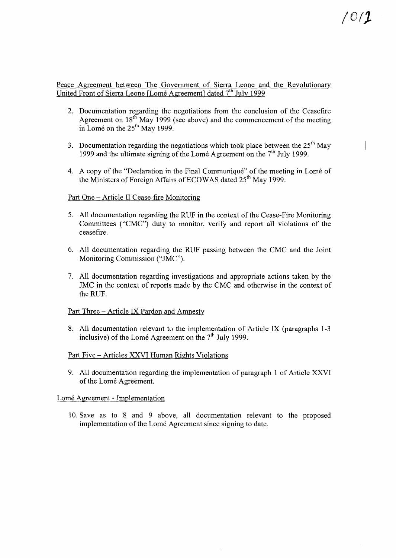### Peace Agreement between The Government of Sierra Leone and the Revolutionary United Front of Sierra Leone [Lomé Agreement] dated  $7<sup>th</sup>$  July 1999

- 2. Documentation regarding the negotiations from the conclusion of the Ceasefire Agreement on  $18<sup>th</sup>$  May 1999 (see above) and the commencement of the meeting in Lomé on the 25<sup>th</sup> May 1999.
- 3. Documentation regarding the negotiations which took place between the  $25<sup>th</sup>$  May 1999 and the ultimate signing of the Lome Agreement on the  $7<sup>th</sup>$  July 1999.
- 4. A copy of the "Declaration in the Final Communiqué" of the meeting in Lomé of the Ministers of Foreign Affairs of ECOWAS dated 25<sup>th</sup> May 1999.

#### Part One - Article II Cease-fire Monitoring

- 5. All documentation regarding the RUF in the context of the Cease-Fire Monitoring Committees ("CMC") duty to monitor, verify and report all violations of the ceasefire.
- 6. All documentation regarding the RUF passing between the CMC and the Joint Monitoring Commission ("JMC").
- 7. All documentation regarding investigations and appropriate actions taken by the JMC in the context of reports made by the CMC and otherwise in the context of the RUF.

#### Part Three - Article IX Pardon and Amnesty

8. All documentation relevant to the implementation of Article IX (paragraphs 1-3 inclusive) of the Lomé Agreement on the  $7<sup>th</sup>$  July 1999.

#### Part Five - Articles XXVI Human Rights Violations

9. All documentation regarding the implementation of paragraph 1 of Article XXVI of the Lomé Agreement.

#### Lomé Agreement - Implementation

10. Save as to 8 and 9 above, all documentation relevant to the proposed implementation of the Lomé Agreement since signing to date.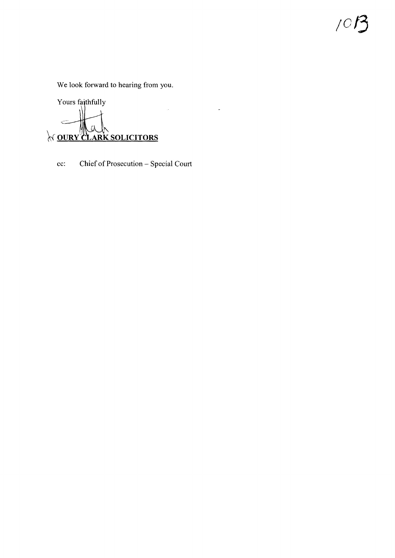We look forward to hearing from you.

 $\int$ 

Yours faithfully Q **NOURY CLARK SOLICITORS** 

Chief of Prosecution - Special Court  $cc$ :

 $\hat{\mathcal{A}}$ 

 $\mathcal{L}^{\text{max}}_{\text{max}}$  and  $\mathcal{L}^{\text{max}}_{\text{max}}$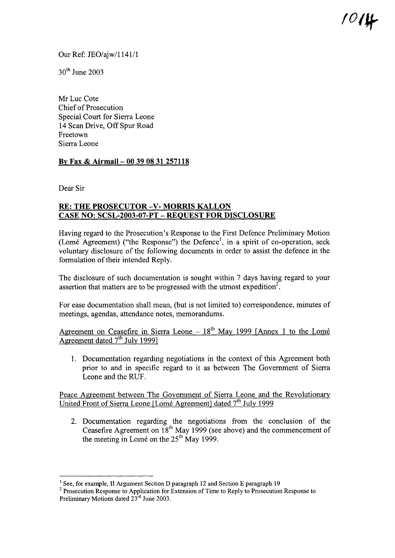Our Ref: JEO/ajw/1141/1

 $30<sup>th</sup>$  June 2003

Mr Luc Cote Chief of Prosecution Special Court for Sierra Leone 14 Scan Drive, Off Spur Road Freetown Sierra Leone

# By Fax & Airmail- 00 39 08 31 257118

Dear Sir

## RE: THE PROSECUTOR-V- MORRIS KALLON CASE NO: SCSL-2003-07-PT - REQUEST FOR DISCLOSURE

Having regard to the Prosecution's Response to the First Defence Preliminary Motion (Lomé Agreement) ("the Response") the Defence<sup>1</sup>, in a spirit of co-operation, seek voluntary disclosure of the following documents in order to assist the defence in the formulation of their intended Reply.

The disclosure of such documentation is sought within 7 days having regard to your assertion that matters are to be progressed with the utmost expedition<sup>2</sup>.

For ease documentation shall mean, (but is not limited to) correspondence, minutes of meetings, agendas, attendance notes, memorandums.

Agreement on Ceasefire in Sierra Leone  $-18<sup>th</sup>$  May 1999 [Annex 1 to the Lomé Agreement dated  $7<sup>th</sup>$  July 1999]

1. Documentation regarding negotiations in the context of this Agreement both prior to and in specific regard to it as between The Government of Sierra Leone and the RUF.

Peace Agreement between The Government of Sierra Leone and the Revolutionary United Front of Sierra Leone [Lomé Agreement] dated  $7<sup>th</sup>$  July 1999

2. Documentation regarding the negotiations from the conclusion of the Ceasefire Agreement on  $18^{th}$  May 1999 (see above) and the commencement of the meeting in Lomé on the 25<sup>th</sup> May 1999.

<sup>&</sup>lt;sup>1</sup> See, for example, II Argument Section D paragraph 12 and Section E paragraph 19

<sup>&</sup>lt;sup>2</sup> Prosecution Response to Application for Extension of Time to Reply to Prosecution Response to Preliminary Motions dated 23<sup>rd</sup> June 2003.